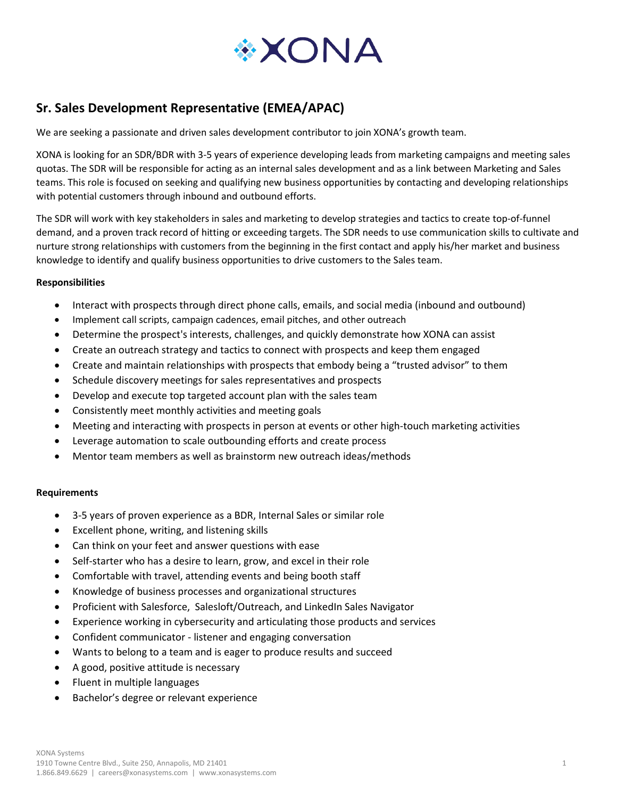

# **Sr. Sales Development Representative (EMEA/APAC)**

We are seeking a passionate and driven sales development contributor to join XONA's growth team.

XONA is looking for an SDR/BDR with 3-5 years of experience developing leads from marketing campaigns and meeting sales quotas. The SDR will be responsible for acting as an internal sales development and as a link between Marketing and Sales teams. This role is focused on seeking and qualifying new business opportunities by contacting and developing relationships with potential customers through inbound and outbound efforts.

The SDR will work with key stakeholders in sales and marketing to develop strategies and tactics to create top-of-funnel demand, and a proven track record of hitting or exceeding targets. The SDR needs to use communication skills to cultivate and nurture strong relationships with customers from the beginning in the first contact and apply his/her market and business knowledge to identify and qualify business opportunities to drive customers to the Sales team.

### **Responsibilities**

- Interact with prospects through direct phone calls, emails, and social media (inbound and outbound)
- Implement call scripts, campaign cadences, email pitches, and other outreach
- Determine the prospect's interests, challenges, and quickly demonstrate how XONA can assist
- Create an outreach strategy and tactics to connect with prospects and keep them engaged
- Create and maintain relationships with prospects that embody being a "trusted advisor" to them
- Schedule discovery meetings for sales representatives and prospects
- Develop and execute top targeted account plan with the sales team
- Consistently meet monthly activities and meeting goals
- Meeting and interacting with prospects in person at events or other high-touch marketing activities
- Leverage automation to scale outbounding efforts and create process
- Mentor team members as well as brainstorm new outreach ideas/methods

#### **Requirements**

- 3-5 years of proven experience as a BDR, Internal Sales or similar role
- Excellent phone, writing, and listening skills
- Can think on your feet and answer questions with ease
- Self-starter who has a desire to learn, grow, and excel in their role
- Comfortable with travel, attending events and being booth staff
- Knowledge of business processes and organizational structures
- Proficient with Salesforce, Salesloft/Outreach, and LinkedIn Sales Navigator
- Experience working in cybersecurity and articulating those products and services
- Confident communicator listener and engaging conversation
- Wants to belong to a team and is eager to produce results and succeed
- A good, positive attitude is necessary
- Fluent in multiple languages
- Bachelor's degree or relevant experience